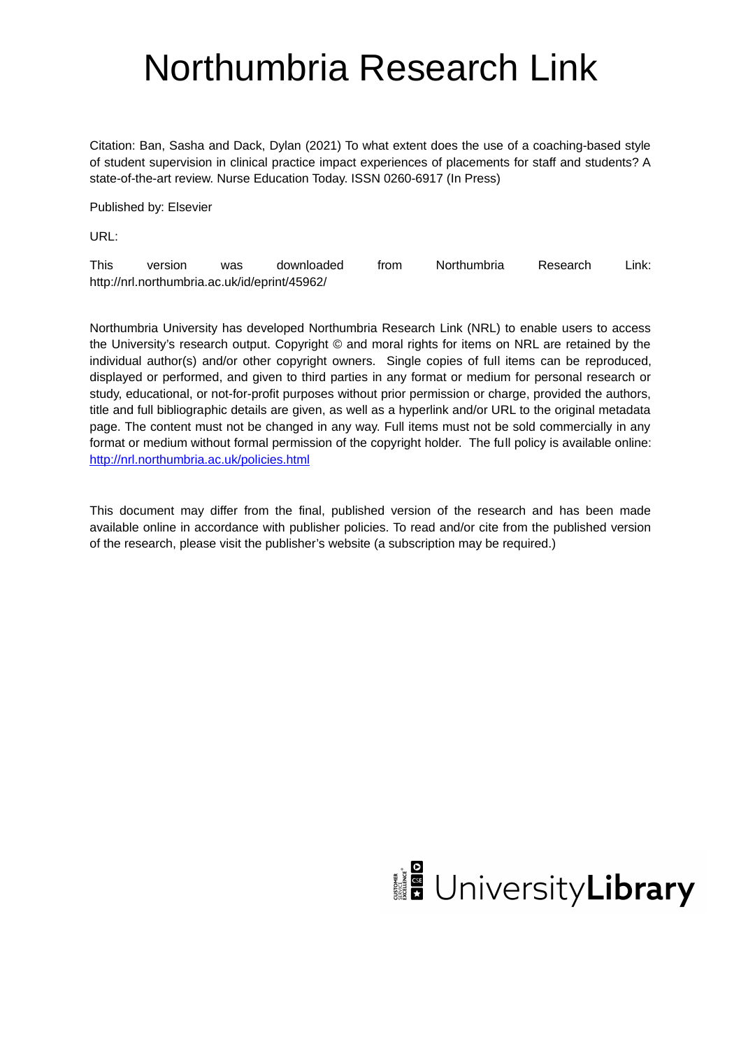# Northumbria Research Link

Citation: Ban, Sasha and Dack, Dylan (2021) To what extent does the use of a coaching-based style of student supervision in clinical practice impact experiences of placements for staff and students? A state-of-the-art review. Nurse Education Today. ISSN 0260-6917 (In Press)

Published by: Elsevier

URL:

This version was downloaded from Northumbria Research Link: http://nrl.northumbria.ac.uk/id/eprint/45962/

Northumbria University has developed Northumbria Research Link (NRL) to enable users to access the University's research output. Copyright © and moral rights for items on NRL are retained by the individual author(s) and/or other copyright owners. Single copies of full items can be reproduced, displayed or performed, and given to third parties in any format or medium for personal research or study, educational, or not-for-profit purposes without prior permission or charge, provided the authors, title and full bibliographic details are given, as well as a hyperlink and/or URL to the original metadata page. The content must not be changed in any way. Full items must not be sold commercially in any format or medium without formal permission of the copyright holder. The full policy is available online: http://nrl.northumbria.ac.uk/policies.html

This document may differ from the final, published version of the research and has been made available online in accordance with publisher policies. To read and/or cite from the published version of the research, please visit the publisher's website (a subscription may be required.)

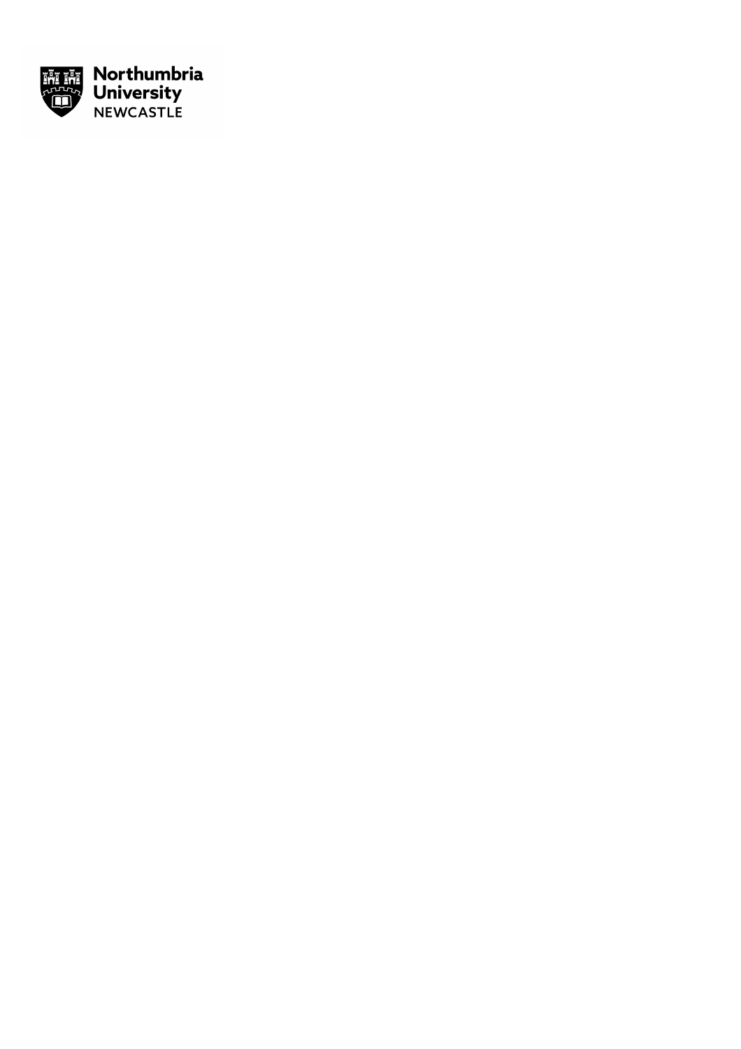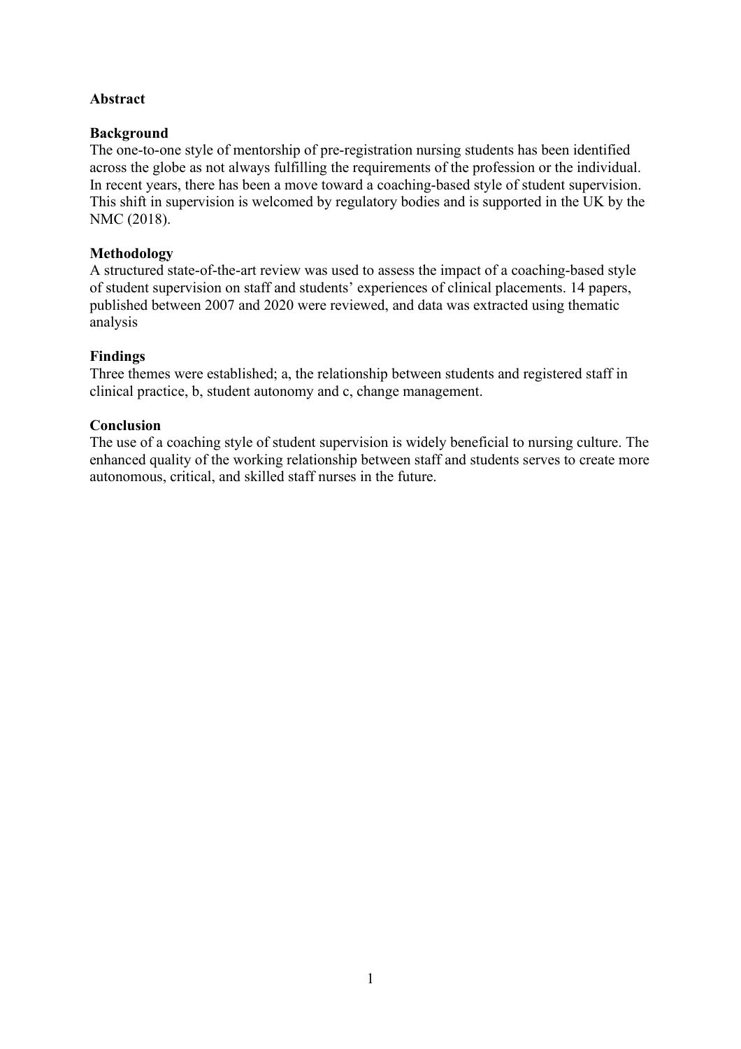# **Abstract**

# **Background**

The one-to-one style of mentorship of pre-registration nursing students has been identified across the globe as not always fulfilling the requirements of the profession or the individual. In recent years, there has been a move toward a coaching-based style of student supervision. This shift in supervision is welcomed by regulatory bodies and is supported in the UK by the NMC (2018).

# **Methodology**

A structured state-of-the-art review was used to assess the impact of a coaching-based style of student supervision on staff and students' experiences of clinical placements. 14 papers, published between 2007 and 2020 were reviewed, and data was extracted using thematic analysis

# **Findings**

Three themes were established; a, the relationship between students and registered staff in clinical practice, b, student autonomy and c, change management.

## **Conclusion**

The use of a coaching style of student supervision is widely beneficial to nursing culture. The enhanced quality of the working relationship between staff and students serves to create more autonomous, critical, and skilled staff nurses in the future.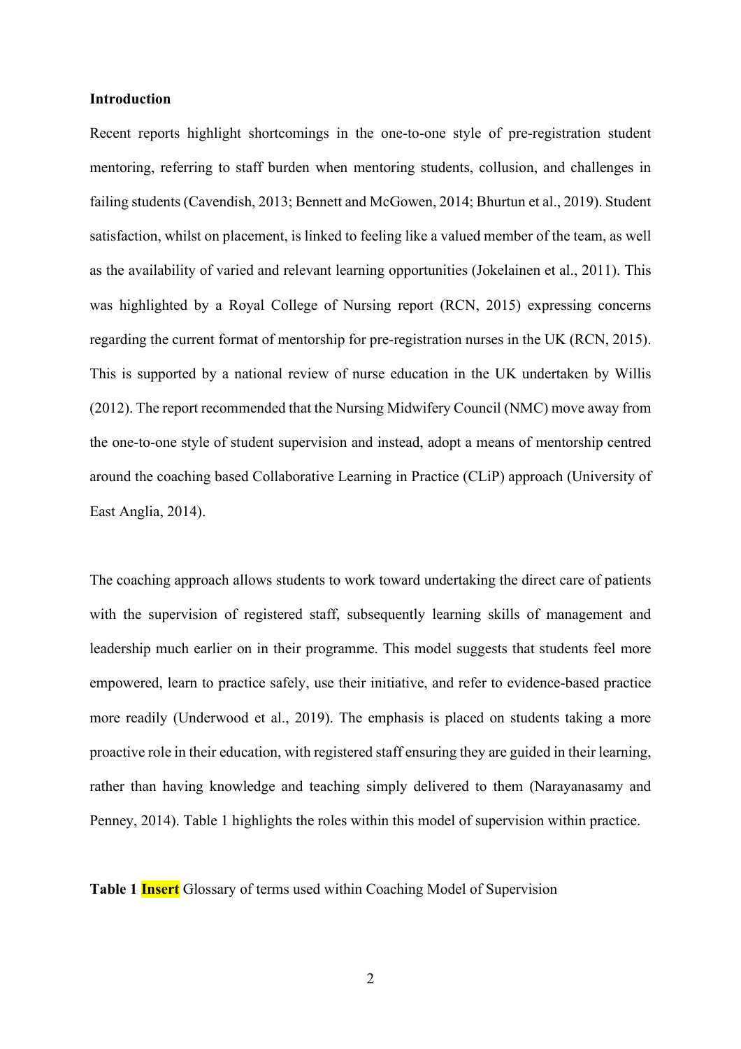#### **Introduction**

Recent reports highlight shortcomings in the one-to-one style of pre-registration student mentoring, referring to staff burden when mentoring students, collusion, and challenges in failing students (Cavendish, 2013; Bennett and McGowen, 2014; Bhurtun et al., 2019). Student satisfaction, whilst on placement, is linked to feeling like a valued member of the team, as well as the availability of varied and relevant learning opportunities (Jokelainen et al., 2011). This was highlighted by a Royal College of Nursing report (RCN, 2015) expressing concerns regarding the current format of mentorship for pre-registration nurses in the UK (RCN, 2015). This is supported by a national review of nurse education in the UK undertaken by Willis (2012). The report recommended that the Nursing Midwifery Council (NMC) move away from the one-to-one style of student supervision and instead, adopt a means of mentorship centred around the coaching based Collaborative Learning in Practice (CLiP) approach (University of East Anglia, 2014).

The coaching approach allows students to work toward undertaking the direct care of patients with the supervision of registered staff, subsequently learning skills of management and leadership much earlier on in their programme. This model suggests that students feel more empowered, learn to practice safely, use their initiative, and refer to evidence-based practice more readily (Underwood et al., 2019). The emphasis is placed on students taking a more proactive role in their education, with registered staff ensuring they are guided in their learning, rather than having knowledge and teaching simply delivered to them (Narayanasamy and Penney, 2014). Table 1 highlights the roles within this model of supervision within practice.

**Table 1 Insert** Glossary of terms used within Coaching Model of Supervision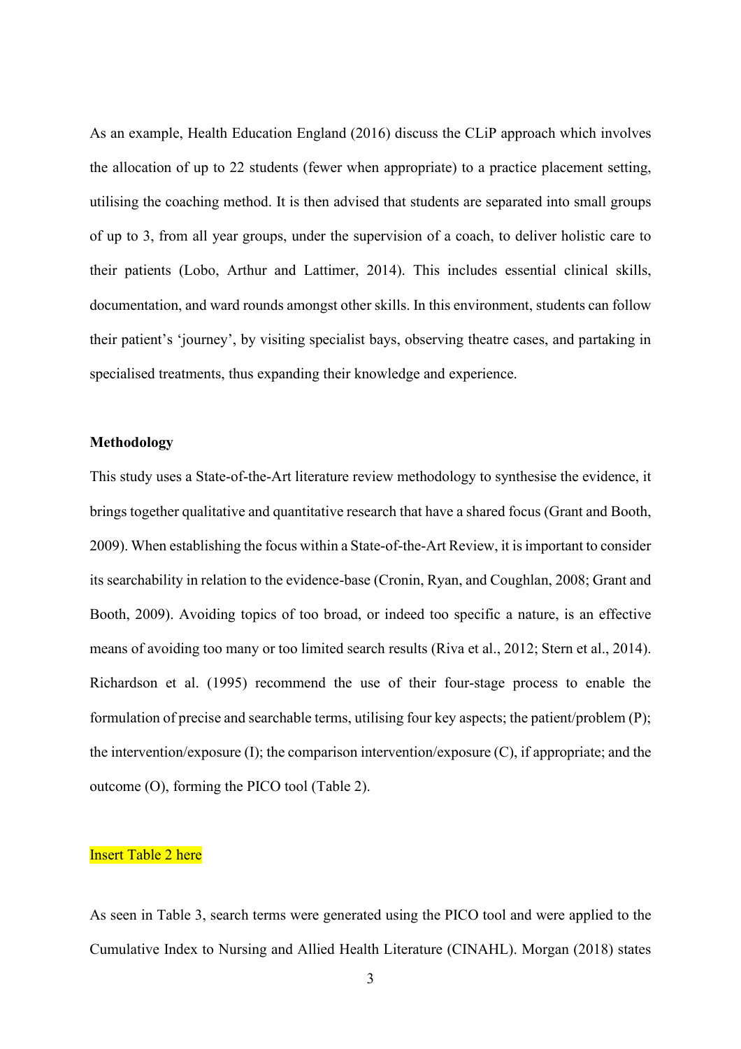As an example, Health Education England (2016) discuss the CLiP approach which involves the allocation of up to 22 students (fewer when appropriate) to a practice placement setting, utilising the coaching method. It is then advised that students are separated into small groups of up to 3, from all year groups, under the supervision of a coach, to deliver holistic care to their patients (Lobo, Arthur and Lattimer, 2014). This includes essential clinical skills, documentation, and ward rounds amongst other skills. In this environment, students can follow their patient's 'journey', by visiting specialist bays, observing theatre cases, and partaking in specialised treatments, thus expanding their knowledge and experience.

#### **Methodology**

This study uses a State-of-the-Art literature review methodology to synthesise the evidence, it brings together qualitative and quantitative research that have a shared focus (Grant and Booth, 2009). When establishing the focus within a State-of-the-Art Review, it is important to consider its searchability in relation to the evidence-base (Cronin, Ryan, and Coughlan, 2008; Grant and Booth, 2009). Avoiding topics of too broad, or indeed too specific a nature, is an effective means of avoiding too many or too limited search results (Riva et al., 2012; Stern et al., 2014). Richardson et al. (1995) recommend the use of their four-stage process to enable the formulation of precise and searchable terms, utilising four key aspects; the patient/problem (P); the intervention/exposure (I); the comparison intervention/exposure (C), if appropriate; and the outcome (O), forming the PICO tool (Table 2).

#### **Insert Table 2 here**

As seen in Table 3, search terms were generated using the PICO tool and were applied to the Cumulative Index to Nursing and Allied Health Literature (CINAHL). Morgan (2018) states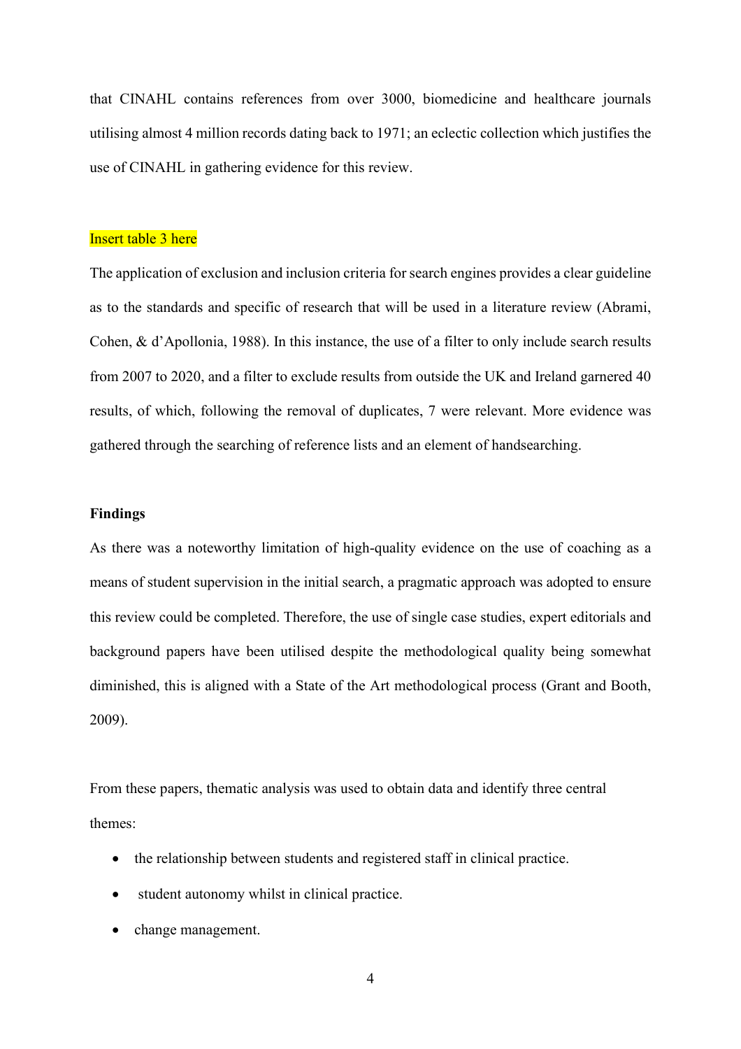that CINAHL contains references from over 3000, biomedicine and healthcare journals utilising almost 4 million records dating back to 1971; an eclectic collection which justifies the use of CINAHL in gathering evidence for this review.

#### Insert table 3 here

The application of exclusion and inclusion criteria for search engines provides a clear guideline as to the standards and specific of research that will be used in a literature review (Abrami, Cohen, & d'Apollonia, 1988). In this instance, the use of a filter to only include search results from 2007 to 2020, and a filter to exclude results from outside the UK and Ireland garnered 40 results, of which, following the removal of duplicates, 7 were relevant. More evidence was gathered through the searching of reference lists and an element of handsearching.

#### **Findings**

As there was a noteworthy limitation of high-quality evidence on the use of coaching as a means of student supervision in the initial search, a pragmatic approach was adopted to ensure this review could be completed. Therefore, the use of single case studies, expert editorials and background papers have been utilised despite the methodological quality being somewhat diminished, this is aligned with a State of the Art methodological process (Grant and Booth, 2009).

From these papers, thematic analysis was used to obtain data and identify three central themes:

- the relationship between students and registered staff in clinical practice.
- student autonomy whilst in clinical practice.
- change management.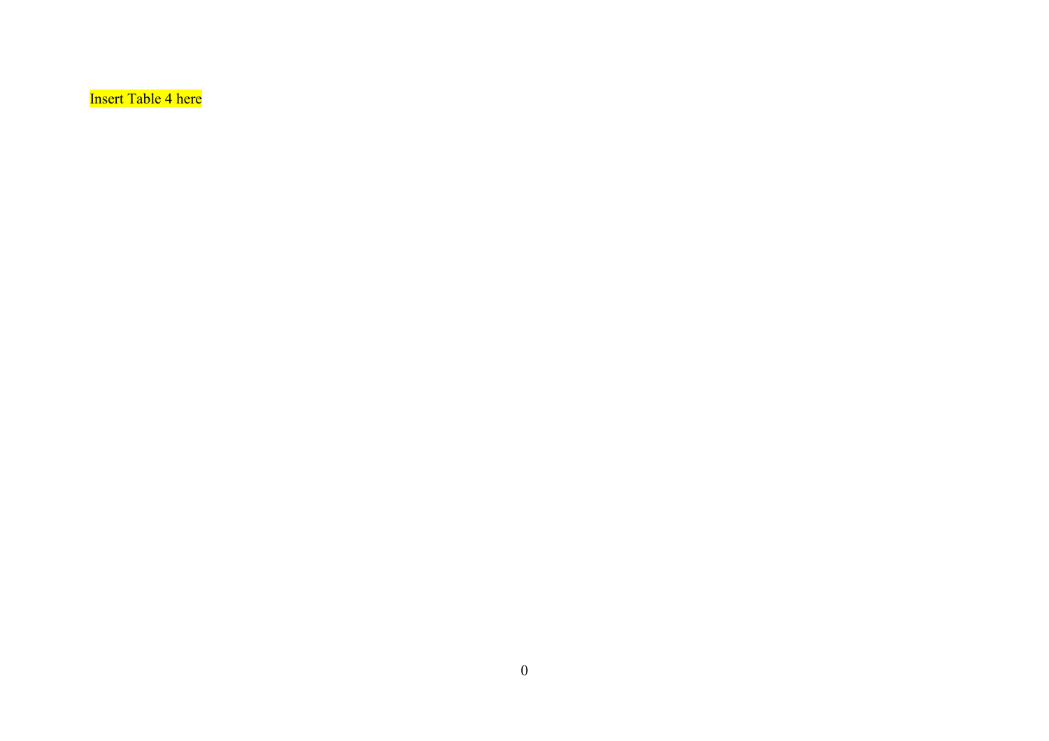Insert Table 4 here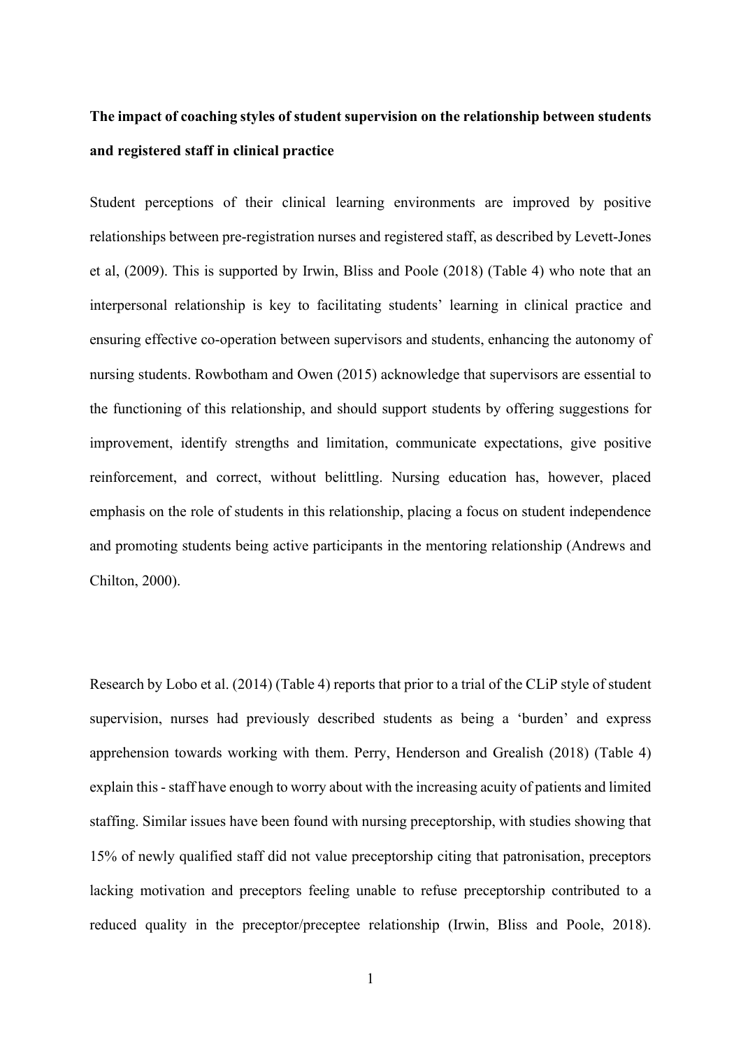# **The impact of coaching styles of student supervision on the relationship between students and registered staff in clinical practice**

Student perceptions of their clinical learning environments are improved by positive relationships between pre-registration nurses and registered staff, as described by Levett-Jones et al, (2009). This is supported by Irwin, Bliss and Poole (2018) (Table 4) who note that an interpersonal relationship is key to facilitating students' learning in clinical practice and ensuring effective co-operation between supervisors and students, enhancing the autonomy of nursing students. Rowbotham and Owen (2015) acknowledge that supervisors are essential to the functioning of this relationship, and should support students by offering suggestions for improvement, identify strengths and limitation, communicate expectations, give positive reinforcement, and correct, without belittling. Nursing education has, however, placed emphasis on the role of students in this relationship, placing a focus on student independence and promoting students being active participants in the mentoring relationship (Andrews and Chilton, 2000).

Research by Lobo et al. (2014) (Table 4) reports that prior to a trial of the CLiP style of student supervision, nurses had previously described students as being a 'burden' and express apprehension towards working with them. Perry, Henderson and Grealish (2018) (Table 4) explain this-staff have enough to worry about with the increasing acuity of patients and limited staffing. Similar issues have been found with nursing preceptorship, with studies showing that 15% of newly qualified staff did not value preceptorship citing that patronisation, preceptors lacking motivation and preceptors feeling unable to refuse preceptorship contributed to a reduced quality in the preceptor/preceptee relationship (Irwin, Bliss and Poole, 2018).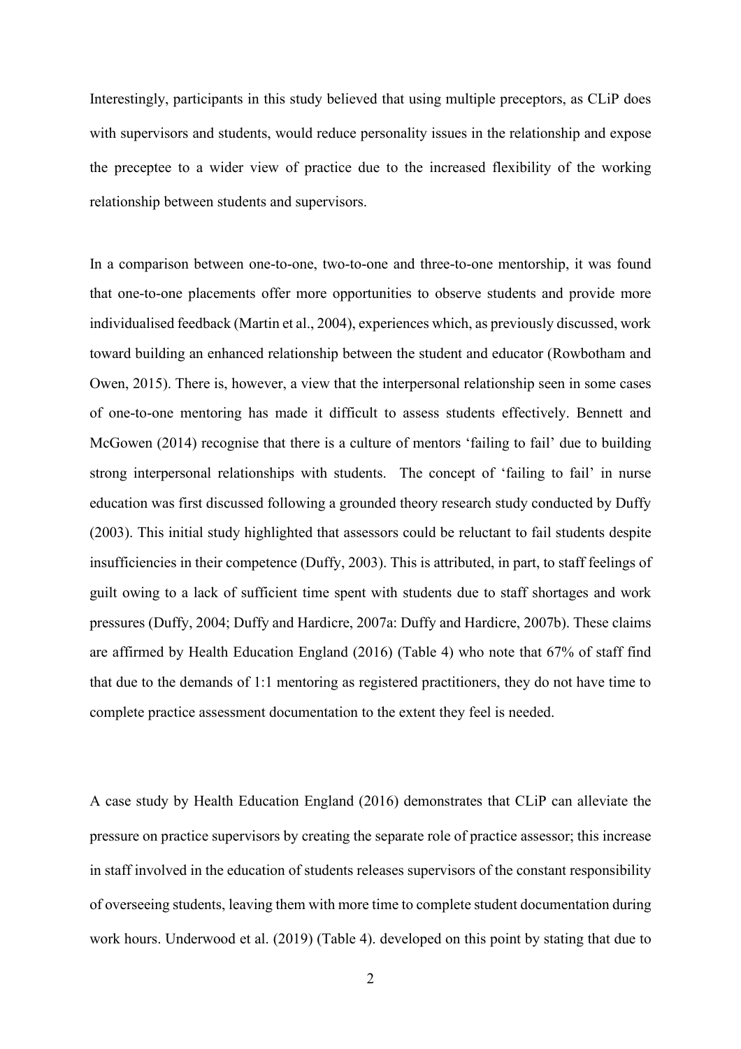Interestingly, participants in this study believed that using multiple preceptors, as CLiP does with supervisors and students, would reduce personality issues in the relationship and expose the preceptee to a wider view of practice due to the increased flexibility of the working relationship between students and supervisors.

In a comparison between one-to-one, two-to-one and three-to-one mentorship, it was found that one-to-one placements offer more opportunities to observe students and provide more individualised feedback (Martin et al., 2004), experiences which, as previously discussed, work toward building an enhanced relationship between the student and educator (Rowbotham and Owen, 2015). There is, however, a view that the interpersonal relationship seen in some cases of one-to-one mentoring has made it difficult to assess students effectively. Bennett and McGowen (2014) recognise that there is a culture of mentors 'failing to fail' due to building strong interpersonal relationships with students. The concept of 'failing to fail' in nurse education was first discussed following a grounded theory research study conducted by Duffy (2003). This initial study highlighted that assessors could be reluctant to fail students despite insufficiencies in their competence (Duffy, 2003). This is attributed, in part, to staff feelings of guilt owing to a lack of sufficient time spent with students due to staff shortages and work pressures (Duffy, 2004; Duffy and Hardicre, 2007a: Duffy and Hardicre, 2007b). These claims are affirmed by Health Education England (2016) (Table 4) who note that 67% of staff find that due to the demands of 1:1 mentoring as registered practitioners, they do not have time to complete practice assessment documentation to the extent they feel is needed.

A case study by Health Education England (2016) demonstrates that CLiP can alleviate the pressure on practice supervisors by creating the separate role of practice assessor; this increase in staff involved in the education of students releases supervisors of the constant responsibility of overseeing students, leaving them with more time to complete student documentation during work hours. Underwood et al. (2019) (Table 4). developed on this point by stating that due to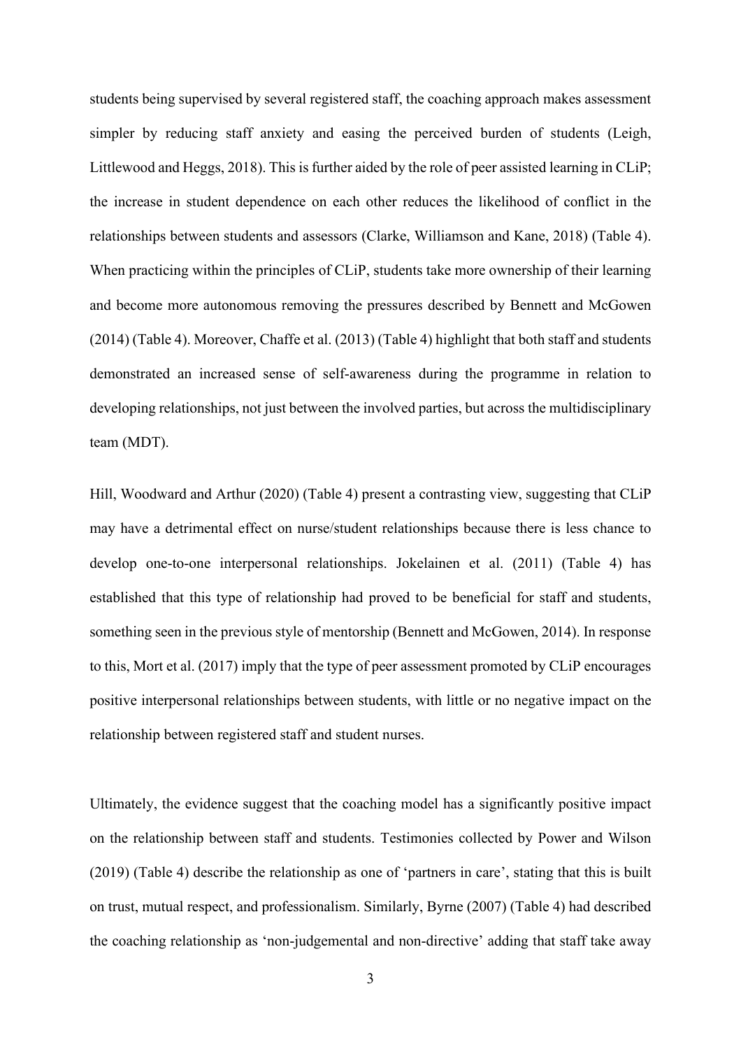students being supervised by several registered staff, the coaching approach makes assessment simpler by reducing staff anxiety and easing the perceived burden of students (Leigh, Littlewood and Heggs, 2018). This is further aided by the role of peer assisted learning in CLiP; the increase in student dependence on each other reduces the likelihood of conflict in the relationships between students and assessors (Clarke, Williamson and Kane, 2018) (Table 4). When practicing within the principles of CLiP, students take more ownership of their learning and become more autonomous removing the pressures described by Bennett and McGowen (2014) (Table 4). Moreover, Chaffe et al. (2013) (Table 4) highlight that both staff and students demonstrated an increased sense of self-awareness during the programme in relation to developing relationships, not just between the involved parties, but across the multidisciplinary team (MDT).

Hill, Woodward and Arthur (2020) (Table 4) present a contrasting view, suggesting that CLiP may have a detrimental effect on nurse/student relationships because there is less chance to develop one-to-one interpersonal relationships. Jokelainen et al. (2011) (Table 4) has established that this type of relationship had proved to be beneficial for staff and students, something seen in the previous style of mentorship (Bennett and McGowen, 2014). In response to this, Mort et al. (2017) imply that the type of peer assessment promoted by CLiP encourages positive interpersonal relationships between students, with little or no negative impact on the relationship between registered staff and student nurses.

Ultimately, the evidence suggest that the coaching model has a significantly positive impact on the relationship between staff and students. Testimonies collected by Power and Wilson (2019) (Table 4) describe the relationship as one of 'partners in care', stating that this is built on trust, mutual respect, and professionalism. Similarly, Byrne (2007) (Table 4) had described the coaching relationship as 'non-judgemental and non-directive' adding that staff take away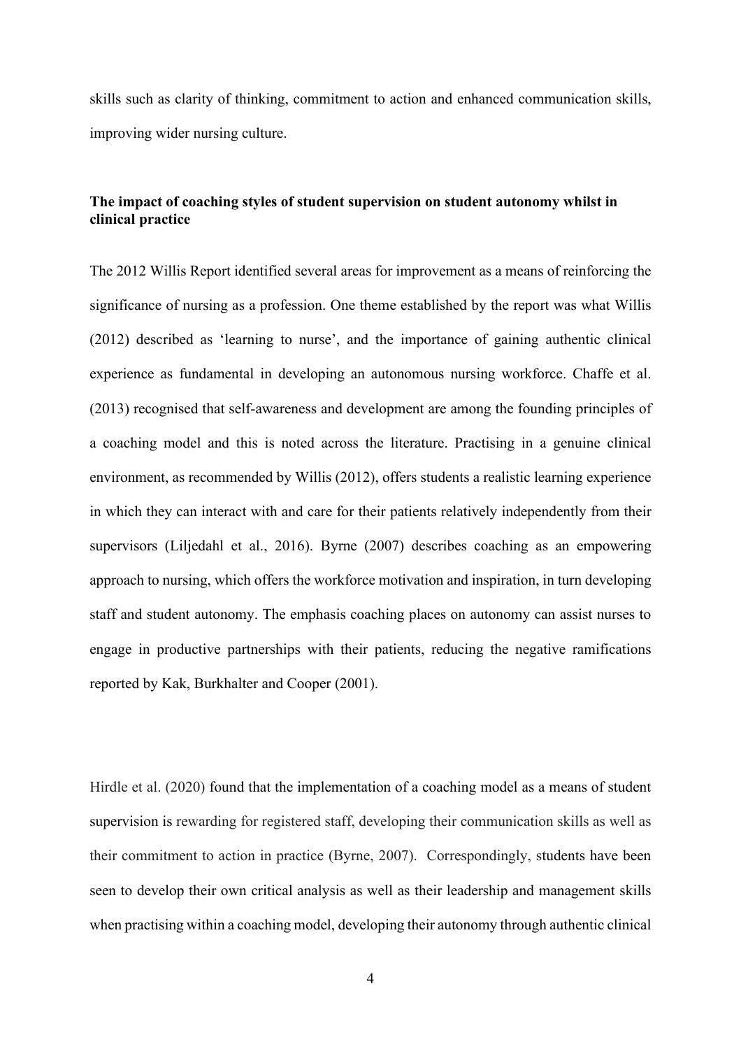skills such as clarity of thinking, commitment to action and enhanced communication skills, improving wider nursing culture.

# **The impact of coaching styles of student supervision on student autonomy whilst in clinical practice**

The 2012 Willis Report identified several areas for improvement as a means of reinforcing the significance of nursing as a profession. One theme established by the report was what Willis (2012) described as 'learning to nurse', and the importance of gaining authentic clinical experience as fundamental in developing an autonomous nursing workforce. Chaffe et al. (2013) recognised that self-awareness and development are among the founding principles of a coaching model and this is noted across the literature. Practising in a genuine clinical environment, as recommended by Willis (2012), offers students a realistic learning experience in which they can interact with and care for their patients relatively independently from their supervisors (Liljedahl et al., 2016). Byrne (2007) describes coaching as an empowering approach to nursing, which offers the workforce motivation and inspiration, in turn developing staff and student autonomy. The emphasis coaching places on autonomy can assist nurses to engage in productive partnerships with their patients, reducing the negative ramifications reported by Kak, Burkhalter and Cooper (2001).

Hirdle et al. (2020) found that the implementation of a coaching model as a means of student supervision is rewarding for registered staff, developing their communication skills as well as their commitment to action in practice (Byrne, 2007). Correspondingly, students have been seen to develop their own critical analysis as well as their leadership and management skills when practising within a coaching model, developing their autonomy through authentic clinical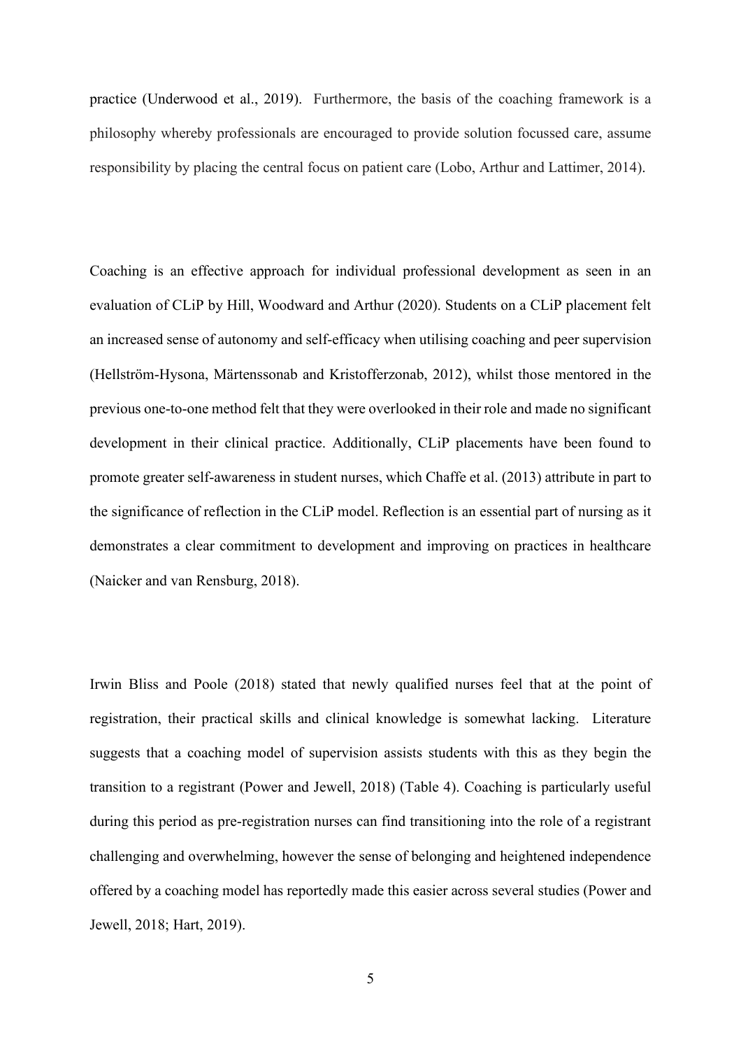practice (Underwood et al., 2019). Furthermore, the basis of the coaching framework is a philosophy whereby professionals are encouraged to provide solution focussed care, assume responsibility by placing the central focus on patient care (Lobo, Arthur and Lattimer, 2014).

Coaching is an effective approach for individual professional development as seen in an evaluation of CLiP by Hill, Woodward and Arthur (2020). Students on a CLiP placement felt an increased sense of autonomy and self-efficacy when utilising coaching and peer supervision (Hellström-Hysona, Märtenssonab and Kristofferzonab, 2012), whilst those mentored in the previous one-to-one method felt that they were overlooked in their role and made no significant development in their clinical practice. Additionally, CLiP placements have been found to promote greater self-awareness in student nurses, which Chaffe et al. (2013) attribute in part to the significance of reflection in the CLiP model. Reflection is an essential part of nursing as it demonstrates a clear commitment to development and improving on practices in healthcare (Naicker and van Rensburg, 2018).

Irwin Bliss and Poole (2018) stated that newly qualified nurses feel that at the point of registration, their practical skills and clinical knowledge is somewhat lacking. Literature suggests that a coaching model of supervision assists students with this as they begin the transition to a registrant (Power and Jewell, 2018) (Table 4). Coaching is particularly useful during this period as pre-registration nurses can find transitioning into the role of a registrant challenging and overwhelming, however the sense of belonging and heightened independence offered by a coaching model has reportedly made this easier across several studies (Power and Jewell, 2018; Hart, 2019).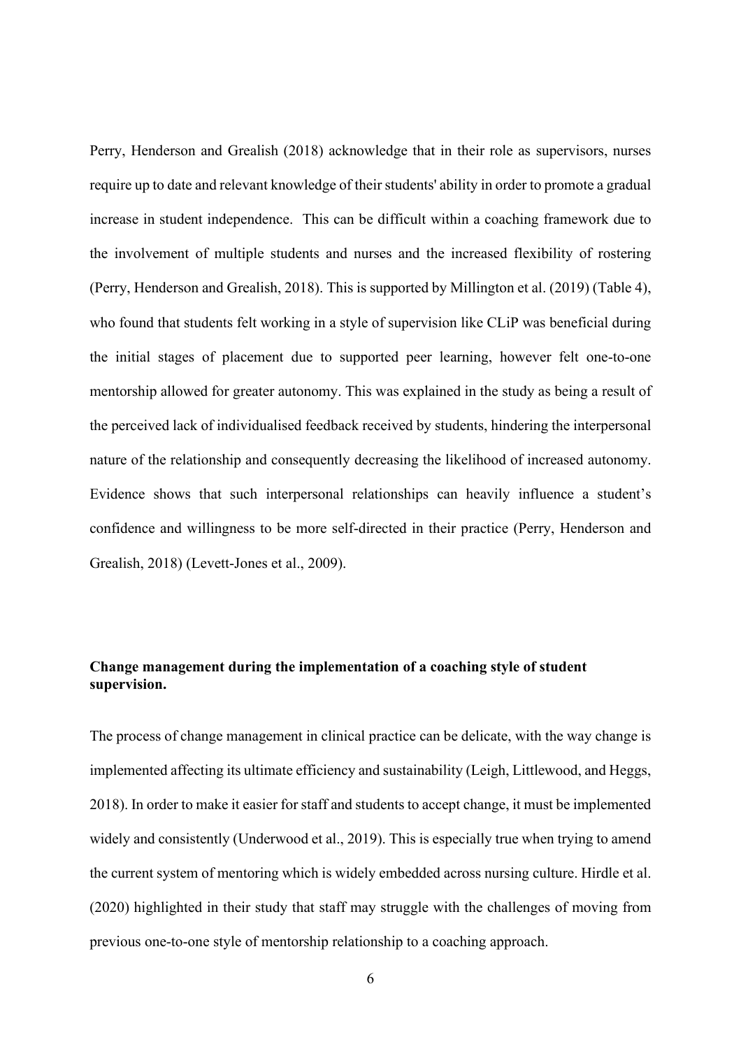Perry, Henderson and Grealish (2018) acknowledge that in their role as supervisors, nurses require up to date and relevant knowledge of their students' ability in order to promote a gradual increase in student independence. This can be difficult within a coaching framework due to the involvement of multiple students and nurses and the increased flexibility of rostering (Perry, Henderson and Grealish, 2018). This is supported by Millington et al. (2019) (Table 4), who found that students felt working in a style of supervision like CLiP was beneficial during the initial stages of placement due to supported peer learning, however felt one-to-one mentorship allowed for greater autonomy. This was explained in the study as being a result of the perceived lack of individualised feedback received by students, hindering the interpersonal nature of the relationship and consequently decreasing the likelihood of increased autonomy. Evidence shows that such interpersonal relationships can heavily influence a student's confidence and willingness to be more self-directed in their practice (Perry, Henderson and Grealish, 2018) (Levett-Jones et al., 2009).

# **Change management during the implementation of a coaching style of student supervision.**

The process of change management in clinical practice can be delicate, with the way change is implemented affecting its ultimate efficiency and sustainability (Leigh, Littlewood, and Heggs, 2018). In order to make it easier for staff and students to accept change, it must be implemented widely and consistently (Underwood et al., 2019). This is especially true when trying to amend the current system of mentoring which is widely embedded across nursing culture. Hirdle et al. (2020) highlighted in their study that staff may struggle with the challenges of moving from previous one-to-one style of mentorship relationship to a coaching approach.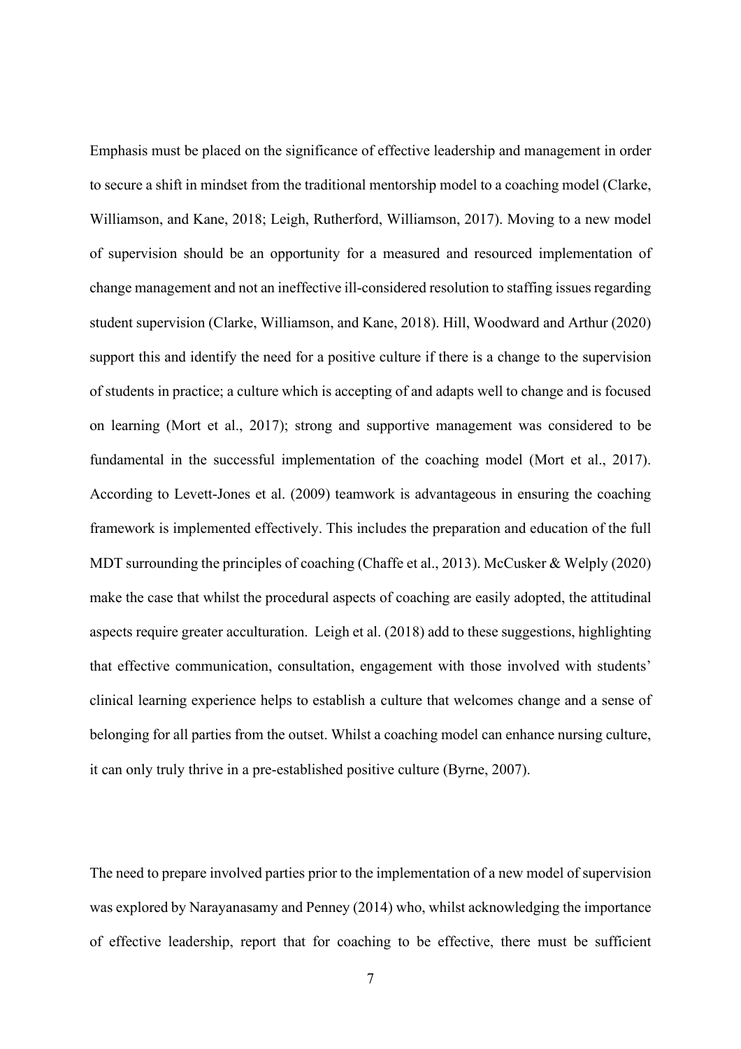Emphasis must be placed on the significance of effective leadership and management in order to secure a shift in mindset from the traditional mentorship model to a coaching model (Clarke, Williamson, and Kane, 2018; Leigh, Rutherford, Williamson, 2017). Moving to a new model of supervision should be an opportunity for a measured and resourced implementation of change management and not an ineffective ill-considered resolution to staffing issues regarding student supervision (Clarke, Williamson, and Kane, 2018). Hill, Woodward and Arthur (2020) support this and identify the need for a positive culture if there is a change to the supervision of students in practice; a culture which is accepting of and adapts well to change and is focused on learning (Mort et al., 2017); strong and supportive management was considered to be fundamental in the successful implementation of the coaching model (Mort et al., 2017). According to Levett-Jones et al. (2009) teamwork is advantageous in ensuring the coaching framework is implemented effectively. This includes the preparation and education of the full MDT surrounding the principles of coaching (Chaffe et al., 2013). McCusker & Welply (2020) make the case that whilst the procedural aspects of coaching are easily adopted, the attitudinal aspects require greater acculturation. Leigh et al. (2018) add to these suggestions, highlighting that effective communication, consultation, engagement with those involved with students' clinical learning experience helps to establish a culture that welcomes change and a sense of belonging for all parties from the outset. Whilst a coaching model can enhance nursing culture, it can only truly thrive in a pre-established positive culture (Byrne, 2007).

The need to prepare involved parties prior to the implementation of a new model of supervision was explored by Narayanasamy and Penney (2014) who, whilst acknowledging the importance of effective leadership, report that for coaching to be effective, there must be sufficient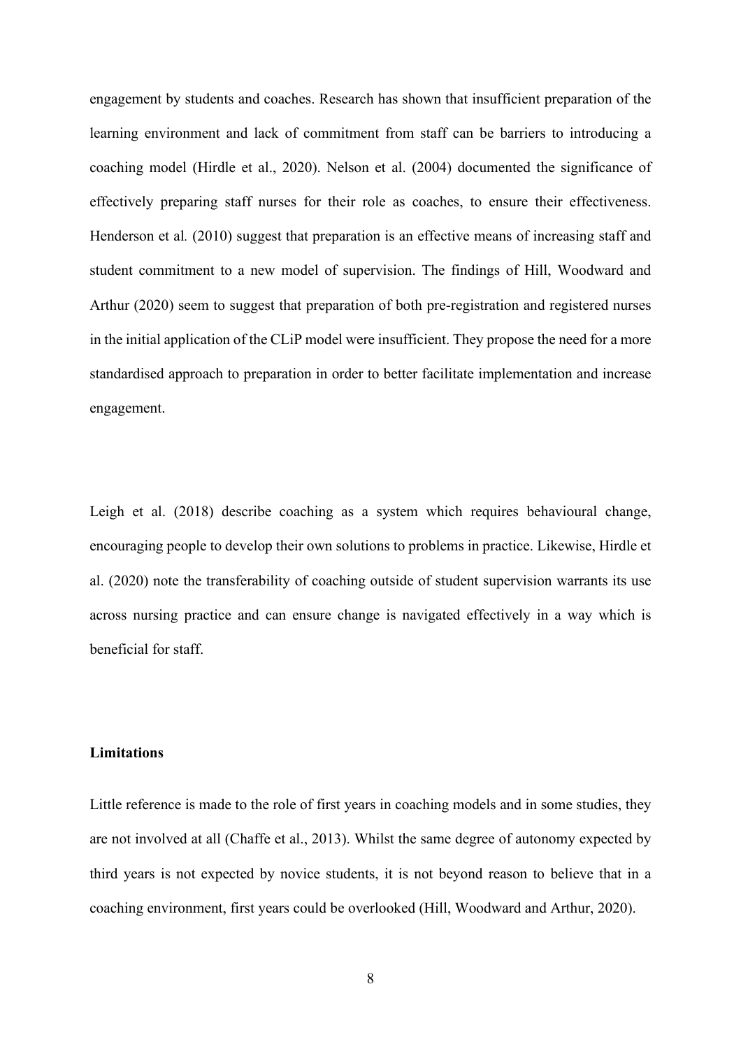engagement by students and coaches. Research has shown that insufficient preparation of the learning environment and lack of commitment from staff can be barriers to introducing a coaching model (Hirdle et al., 2020). Nelson et al. (2004) documented the significance of effectively preparing staff nurses for their role as coaches, to ensure their effectiveness. Henderson et al*.* (2010) suggest that preparation is an effective means of increasing staff and student commitment to a new model of supervision. The findings of Hill, Woodward and Arthur (2020) seem to suggest that preparation of both pre-registration and registered nurses in the initial application of the CLiP model were insufficient. They propose the need for a more standardised approach to preparation in order to better facilitate implementation and increase engagement.

Leigh et al. (2018) describe coaching as a system which requires behavioural change, encouraging people to develop their own solutions to problems in practice. Likewise, Hirdle et al. (2020) note the transferability of coaching outside of student supervision warrants its use across nursing practice and can ensure change is navigated effectively in a way which is beneficial for staff.

#### **Limitations**

Little reference is made to the role of first years in coaching models and in some studies, they are not involved at all (Chaffe et al., 2013). Whilst the same degree of autonomy expected by third years is not expected by novice students, it is not beyond reason to believe that in a coaching environment, first years could be overlooked (Hill, Woodward and Arthur, 2020).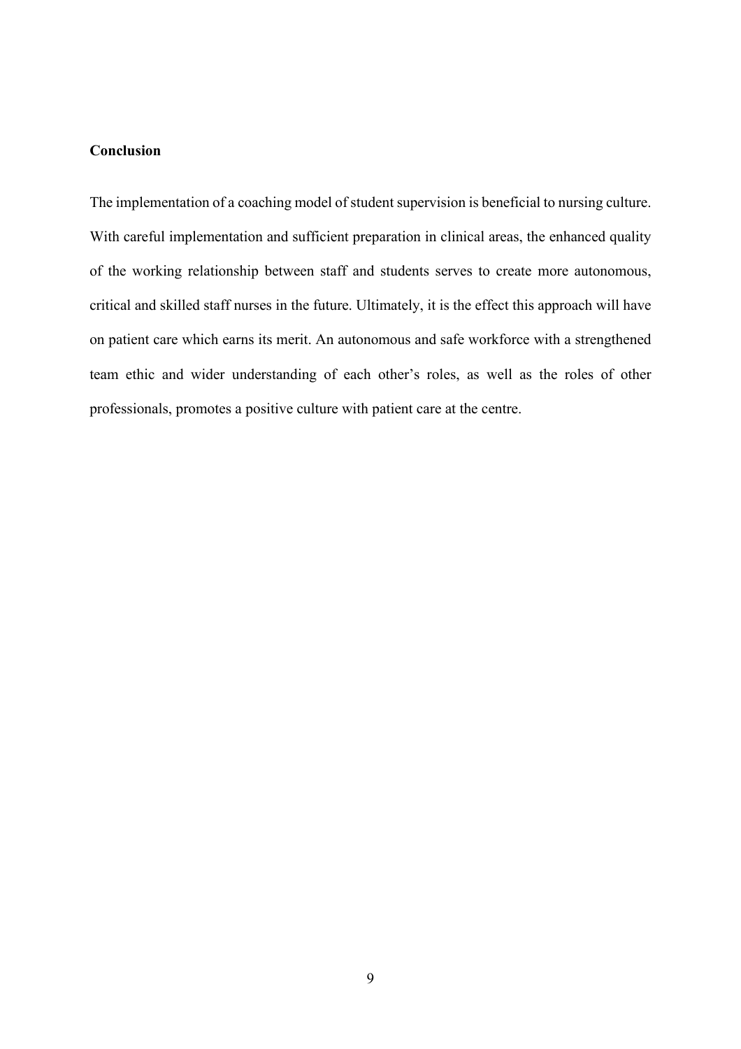# **Conclusion**

The implementation of a coaching model of student supervision is beneficial to nursing culture. With careful implementation and sufficient preparation in clinical areas, the enhanced quality of the working relationship between staff and students serves to create more autonomous, critical and skilled staff nurses in the future. Ultimately, it is the effect this approach will have on patient care which earns its merit. An autonomous and safe workforce with a strengthened team ethic and wider understanding of each other's roles, as well as the roles of other professionals, promotes a positive culture with patient care at the centre.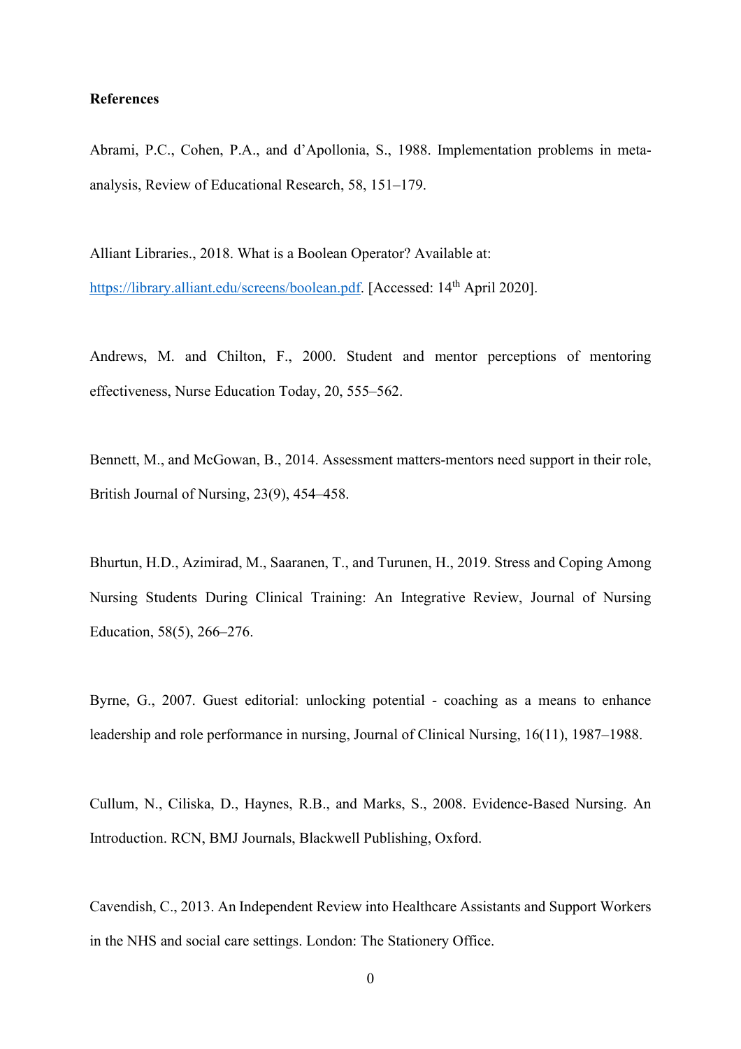#### **References**

Abrami, P.C., Cohen, P.A., and d'Apollonia, S., 1988. Implementation problems in metaanalysis, Review of Educational Research, 58, 151–179.

Alliant Libraries., 2018. What is a Boolean Operator? Available at: [https://library.alliant.edu/screens/boolean.pdf.](https://library.alliant.edu/screens/boolean.pdf) [Accessed: 14<sup>th</sup> April 2020].

Andrews, M. and Chilton, F., 2000. Student and mentor perceptions of mentoring effectiveness, Nurse Education Today, 20, 555–562.

Bennett, M., and McGowan, B., 2014. Assessment matters-mentors need support in their role, British Journal of Nursing, 23(9), 454–458.

Bhurtun, H.D., Azimirad, M., Saaranen, T., and Turunen, H., 2019. Stress and Coping Among Nursing Students During Clinical Training: An Integrative Review, Journal of Nursing Education, 58(5), 266–276.

Byrne, G., 2007. Guest editorial: unlocking potential - coaching as a means to enhance leadership and role performance in nursing, Journal of Clinical Nursing, 16(11), 1987–1988.

Cullum, N., Ciliska, D., Haynes, R.B., and Marks, S., 2008. Evidence-Based Nursing. An Introduction. RCN, BMJ Journals, Blackwell Publishing, Oxford.

Cavendish, C., 2013. An Independent Review into Healthcare Assistants and Support Workers in the NHS and social care settings. London: The Stationery Office.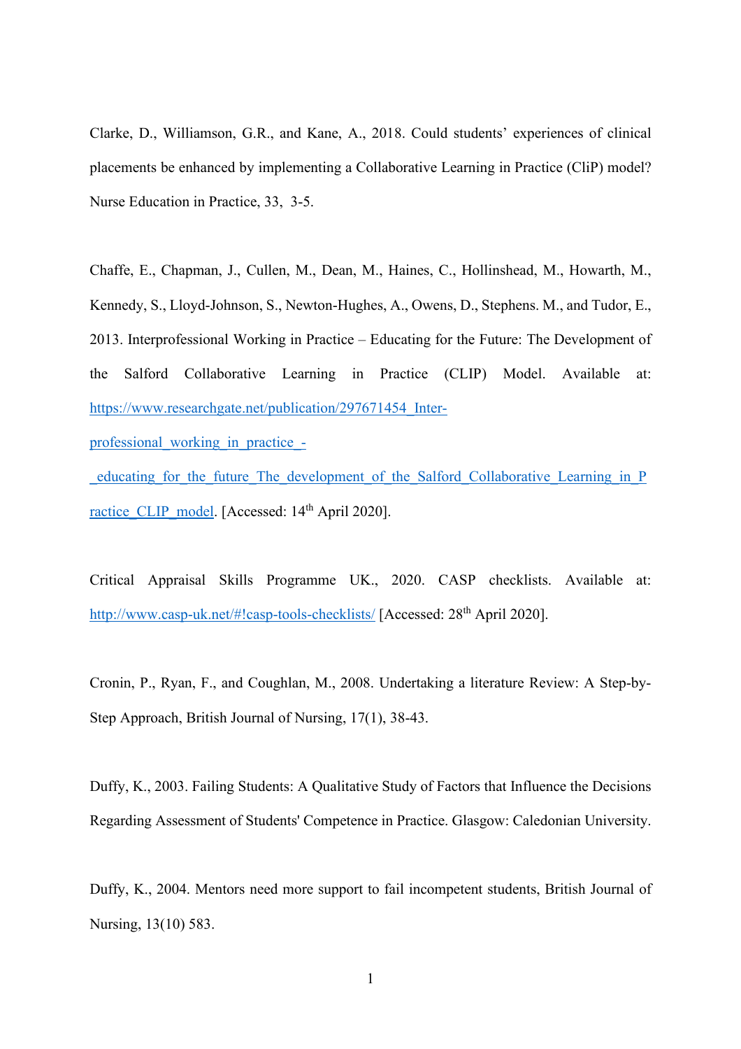Clarke, D., Williamson, G.R., and Kane, A., 2018. Could students' experiences of clinical placements be enhanced by implementing a Collaborative Learning in Practice (CliP) model? Nurse Education in Practice, 33, 3-5.

Chaffe, E., Chapman, J., Cullen, M., Dean, M., Haines, C., Hollinshead, M., Howarth, M., Kennedy, S., Lloyd-Johnson, S., Newton-Hughes, A., Owens, D., Stephens. M., and Tudor, E., 2013. Interprofessional Working in Practice – Educating for the Future: The Development of the Salford Collaborative Learning in Practice (CLIP) Model. Available at: [https://www.researchgate.net/publication/297671454\\_Inter-](https://www.researchgate.net/publication/297671454_Inter-professional_working_in_practice_-_educating_for_the_future_The_development_of_the_Salford_Collaborative_Learning_in_Practice_CLIP_model)

[professional\\_working\\_in\\_practice\\_-](https://www.researchgate.net/publication/297671454_Inter-professional_working_in_practice_-_educating_for_the_future_The_development_of_the_Salford_Collaborative_Learning_in_Practice_CLIP_model)

educating for the future The development of the Salford Collaborative Learning in P ractice CLIP\_model. [Accessed: 14<sup>th</sup> April 2020].

Critical Appraisal Skills Programme UK., 2020. CASP checklists. Available at: <http://www.casp-uk.net/#!casp-tools-checklists/> [Accessed: 28<sup>th</sup> April 2020].

Cronin, P., Ryan, F., and Coughlan, M., 2008. Undertaking a literature Review: A Step-by-Step Approach, British Journal of Nursing, 17(1), 38-43.

Duffy, K., 2003. Failing Students: A Qualitative Study of Factors that Influence the Decisions Regarding Assessment of Students' Competence in Practice. Glasgow: Caledonian University.

Duffy, K., 2004. Mentors need more support to fail incompetent students, British Journal of Nursing, 13(10) 583.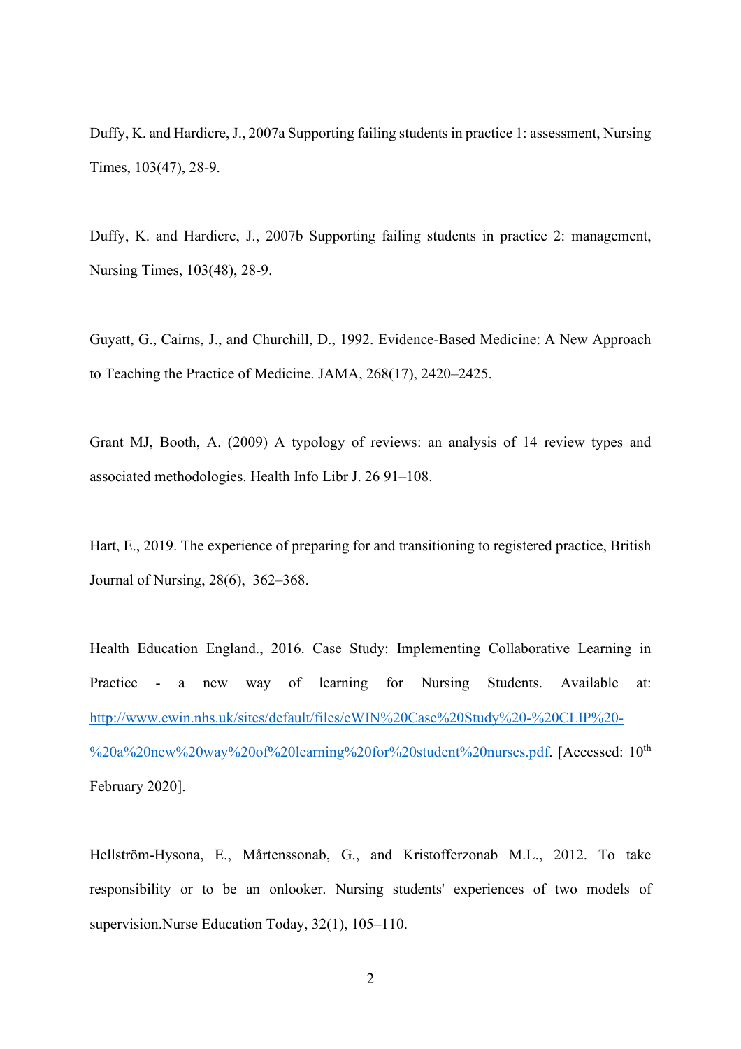Duffy, K. and Hardicre, J., 2007a Supporting failing students in practice 1: assessment, Nursing Times, 103(47), 28-9.

Duffy, K. and Hardicre, J., 2007b Supporting failing students in practice 2: management, Nursing Times, 103(48), 28-9.

Guyatt, G., Cairns, J., and Churchill, D., 1992. Evidence-Based Medicine: A New Approach to Teaching the Practice of Medicine. JAMA, 268(17), 2420–2425.

Grant MJ, Booth, A. (2009) A typology of reviews: an analysis of 14 review types and associated methodologies. Health Info Libr J. 26 91–108.

Hart, E., 2019. The experience of preparing for and transitioning to registered practice, British Journal of Nursing, 28(6), 362–368.

Health Education England., 2016. Case Study: Implementing Collaborative Learning in Practice - a new way of learning for Nursing Students. Available at: [http://www.ewin.nhs.uk/sites/default/files/eWIN%20Case%20Study%20-%20CLIP%20-](http://www.ewin.nhs.uk/sites/default/files/eWIN%20Case%20Study%20-%20CLIP%20-%20a%20new%20way%20of%20learning%20for%20student%20nurses.pdf) [%20a%20new%20way%20of%20learning%20for%20student%20nurses.pdf.](http://www.ewin.nhs.uk/sites/default/files/eWIN%20Case%20Study%20-%20CLIP%20-%20a%20new%20way%20of%20learning%20for%20student%20nurses.pdf) [Accessed: 10<sup>th</sup> February 2020].

Hellström-Hysona, E., Mårtenssonab, G., and Kristofferzonab M.L., 2012. To take responsibility or to be an onlooker. Nursing students' experiences of two models of supervision.Nurse Education Today, 32(1), 105–110.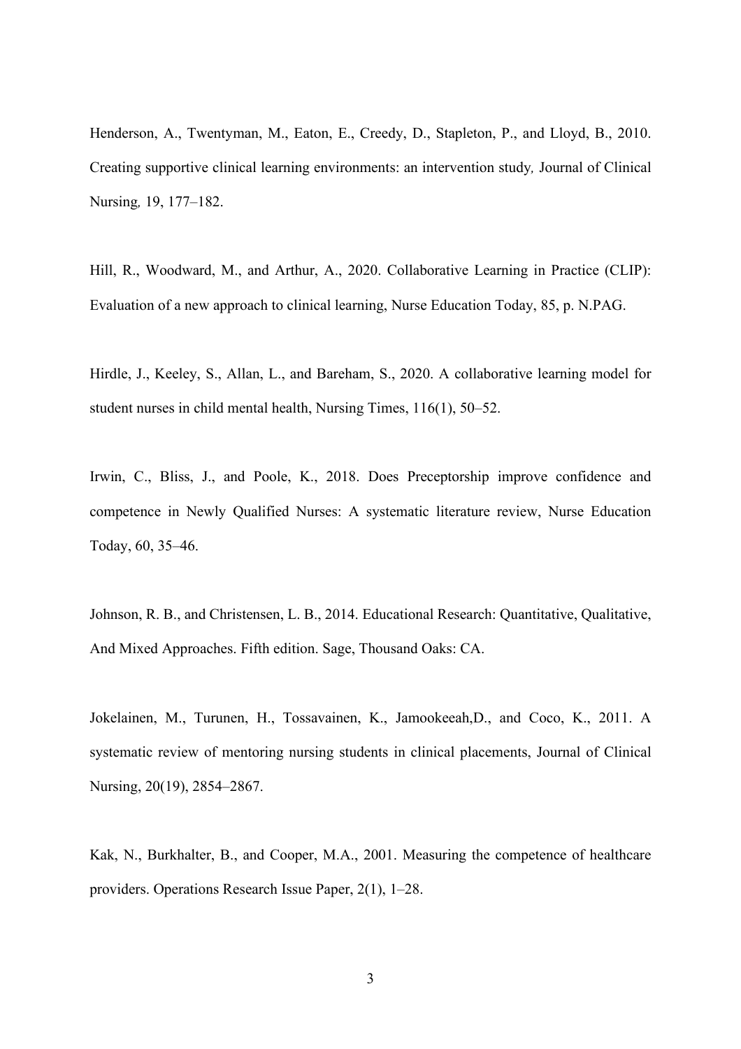Henderson, A., Twentyman, M., Eaton, E., Creedy, D., Stapleton, P., and Lloyd, B., 2010. Creating supportive clinical learning environments: an intervention study*,* Journal of Clinical Nursing*,* 19, 177–182.

Hill, R., Woodward, M., and Arthur, A., 2020. Collaborative Learning in Practice (CLIP): Evaluation of a new approach to clinical learning, Nurse Education Today, 85, p. N.PAG.

Hirdle, J., Keeley, S., Allan, L., and Bareham, S., 2020. A collaborative learning model for student nurses in child mental health, Nursing Times, 116(1), 50–52.

Irwin, C., Bliss, J., and Poole, K., 2018. Does Preceptorship improve confidence and competence in Newly Qualified Nurses: A systematic literature review, Nurse Education Today, 60, 35–46.

Johnson, R. B., and Christensen, L. B., 2014. Educational Research: Quantitative, Qualitative, And Mixed Approaches. Fifth edition. Sage, Thousand Oaks: CA.

Jokelainen, M., Turunen, H., Tossavainen, K., Jamookeeah,D., and Coco, K., 2011. A systematic review of mentoring nursing students in clinical placements, Journal of Clinical Nursing, 20(19), 2854–2867.

Kak, N., Burkhalter, B., and Cooper, M.A., 2001. Measuring the competence of healthcare providers. Operations Research Issue Paper, 2(1), 1–28.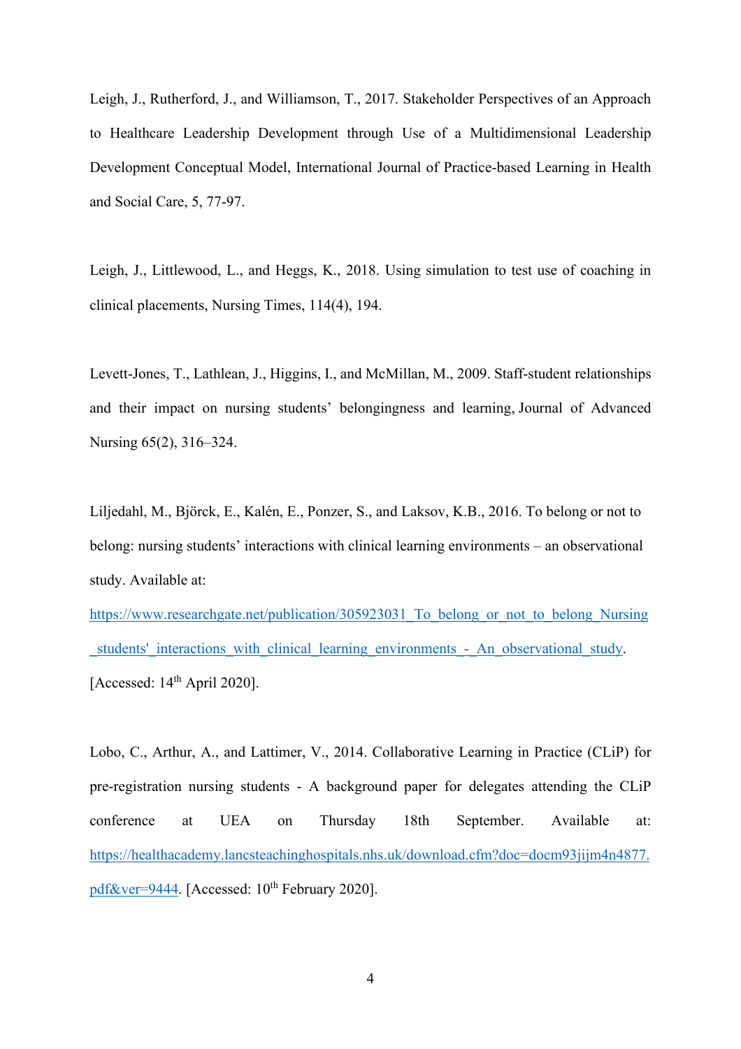Leigh, J., Rutherford, J., and Williamson, T., 2017. Stakeholder Perspectives of an Approach to Healthcare Leadership Development through Use of a Multidimensional Leadership Development Conceptual Model, International Journal of Practice-based Learning in Health and Social Care, 5, 77-97.

Leigh, J., Littlewood, L., and Heggs, K., 2018. Using simulation to test use of coaching in clinical placements, Nursing Times, 114(4), 194.

Levett-Jones, T., Lathlean, J., Higgins, I., and McMillan, M., 2009. Staff-student relationships and their impact on nursing students' belongingness and learning, Journal of Advanced Nursing 65(2), 316–324.

Liljedahl, M., Björck, E., Kalén, E., Ponzer, S., and Laksov, K.B., 2016. To belong or not to belong: nursing students' interactions with clinical learning environments – an observational study. Available at:

[https://www.researchgate.net/publication/305923031\\_To\\_belong\\_or\\_not\\_to\\_belong\\_Nursing](https://www.researchgate.net/publication/305923031_To_belong_or_not_to_belong_Nursing_students) students' interactions with clinical learning environments - An observational study. [Accessed: 14<sup>th</sup> April 2020].

Lobo, C., Arthur, A., and Lattimer, V., 2014. Collaborative Learning in Practice (CLiP) for pre-registration nursing students - A background paper for delegates attending the CLiP conference at UEA on Thursday 18th September. Available at: [https://healthacademy.lancsteachinghospitals.nhs.uk/download.cfm?doc=docm93jijm4n4877.](https://healthacademy.lancsteachinghospitals.nhs.uk/download.cfm?doc=docm93jijm4n4877.pdf&ver=9444) [pdf&ver=9444.](https://healthacademy.lancsteachinghospitals.nhs.uk/download.cfm?doc=docm93jijm4n4877.pdf&ver=9444) [Accessed: 10<sup>th</sup> February 2020].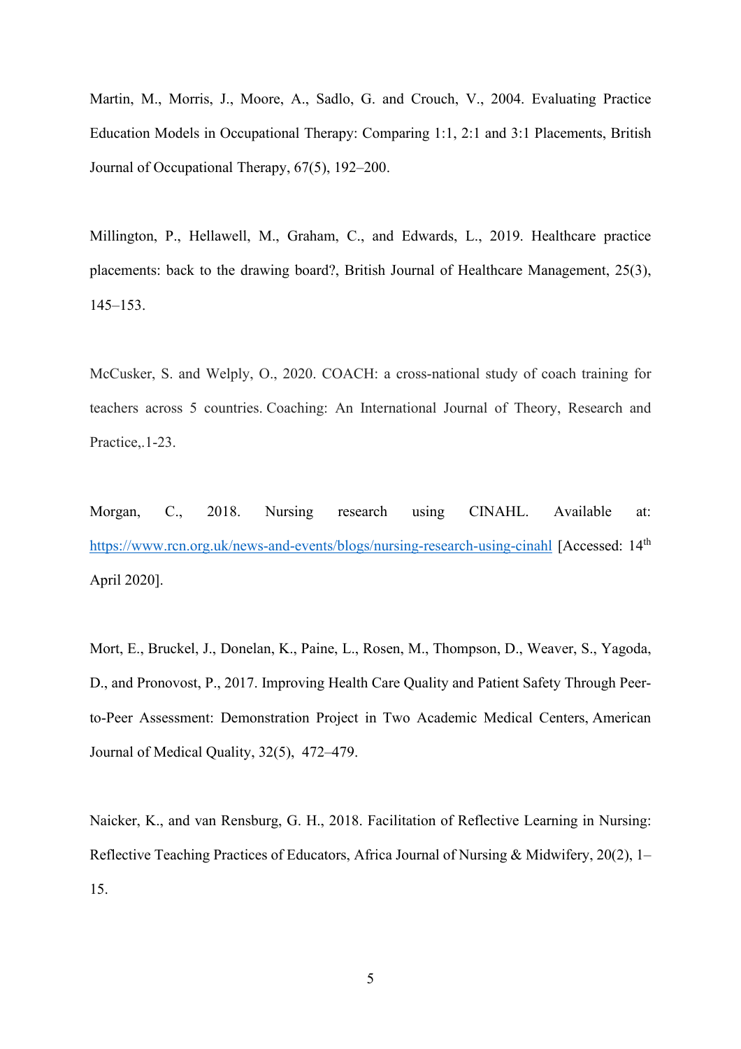Martin, M., Morris, J., Moore, A., Sadlo, G. and Crouch, V., 2004. Evaluating Practice Education Models in Occupational Therapy: Comparing 1:1, 2:1 and 3:1 Placements, British Journal of Occupational Therapy, 67(5), 192–200.

Millington, P., Hellawell, M., Graham, C., and Edwards, L., 2019. Healthcare practice placements: back to the drawing board?, British Journal of Healthcare Management, 25(3), 145–153.

McCusker, S. and Welply, O., 2020. COACH: a cross-national study of coach training for teachers across 5 countries. Coaching: An International Journal of Theory, Research and Practice,.1-23.

Morgan, C., 2018. Nursing research using CINAHL. Available at: <https://www.rcn.org.uk/news-and-events/blogs/nursing-research-using-cinahl> [Accessed: 14<sup>th</sup>] April 2020].

Mort, E., Bruckel, J., Donelan, K., Paine, L., Rosen, M., Thompson, D., Weaver, S., Yagoda, D., and Pronovost, P., 2017. Improving Health Care Quality and Patient Safety Through Peerto-Peer Assessment: Demonstration Project in Two Academic Medical Centers, American Journal of Medical Quality, 32(5), 472–479.

Naicker, K., and van Rensburg, G. H., 2018. Facilitation of Reflective Learning in Nursing: Reflective Teaching Practices of Educators, Africa Journal of Nursing & Midwifery, 20(2), 1– 15.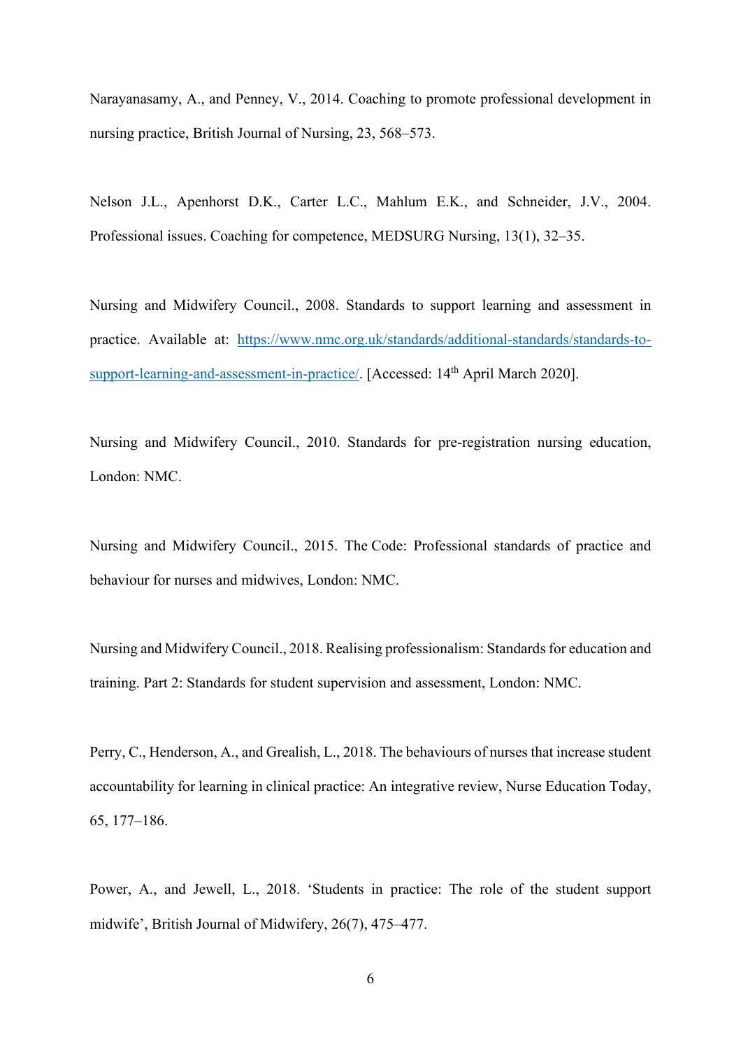Narayanasamy, A., and Penney, V., 2014. Coaching to promote professional development in nursing practice, British Journal of Nursing, 23, 568–573.

Nelson J.L., Apenhorst D.K., Carter L.C., Mahlum E.K., and Schneider, J.V., 2004. Professional issues. Coaching for competence, MEDSURG Nursing, 13(1), 32–35.

Nursing and Midwifery Council., 2008. Standards to support learning and assessment in practice. Available at: [https://www.nmc.org.uk/standards/additional-standards/standards-to](https://www.nmc.org.uk/standards/additional-standards/standards-to-support-learning-and-assessment-in-practice/)[support-learning-and-assessment-in-practice/.](https://www.nmc.org.uk/standards/additional-standards/standards-to-support-learning-and-assessment-in-practice/) [Accessed: 14<sup>th</sup> April March 2020].

Nursing and Midwifery Council., 2010. Standards for pre-registration nursing education, London: NMC.

Nursing and Midwifery Council., 2015. The Code: Professional standards of practice and behaviour for nurses and midwives, London: NMC.

Nursing and Midwifery Council., 2018. Realising professionalism: Standards for education and training. Part 2: Standards for student supervision and assessment, London: NMC.

Perry, C., Henderson, A., and Grealish, L., 2018. The behaviours of nurses that increase student accountability for learning in clinical practice: An integrative review, Nurse Education Today, 65, 177–186.

Power, A., and Jewell, L., 2018. 'Students in practice: The role of the student support midwife', British Journal of Midwifery, 26(7), 475–477.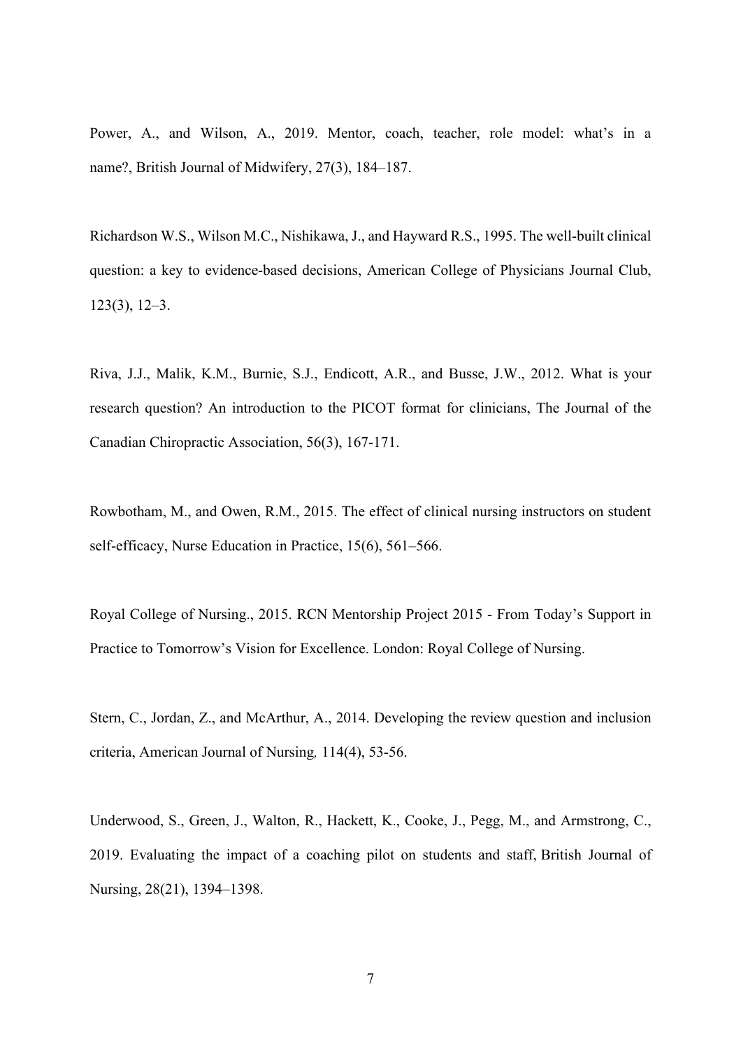Power, A., and Wilson, A., 2019. Mentor, coach, teacher, role model: what's in a name?, British Journal of Midwifery, 27(3), 184–187.

Richardson W.S., Wilson M.C., Nishikawa, J., and Hayward R.S., 1995. The well-built clinical question: a key to evidence-based decisions, American College of Physicians Journal Club, 123(3), 12–3.

Riva, J.J., Malik, K.M., Burnie, S.J., Endicott, A.R., and Busse, J.W., 2012. What is your research question? An introduction to the PICOT format for clinicians, The Journal of the Canadian Chiropractic Association, 56(3), 167-171.

Rowbotham, M., and Owen, R.M., 2015. The effect of clinical nursing instructors on student self-efficacy, Nurse Education in Practice, 15(6), 561–566.

Royal College of Nursing., 2015. RCN Mentorship Project 2015 - From Today's Support in Practice to Tomorrow's Vision for Excellence. London: Royal College of Nursing.

Stern, C., Jordan, Z., and McArthur, A., 2014. Developing the review question and inclusion criteria, American Journal of Nursing*,* 114(4), 53-56.

Underwood, S., Green, J., Walton, R., Hackett, K., Cooke, J., Pegg, M., and Armstrong, C., 2019. Evaluating the impact of a coaching pilot on students and staff, British Journal of Nursing, 28(21), 1394–1398.